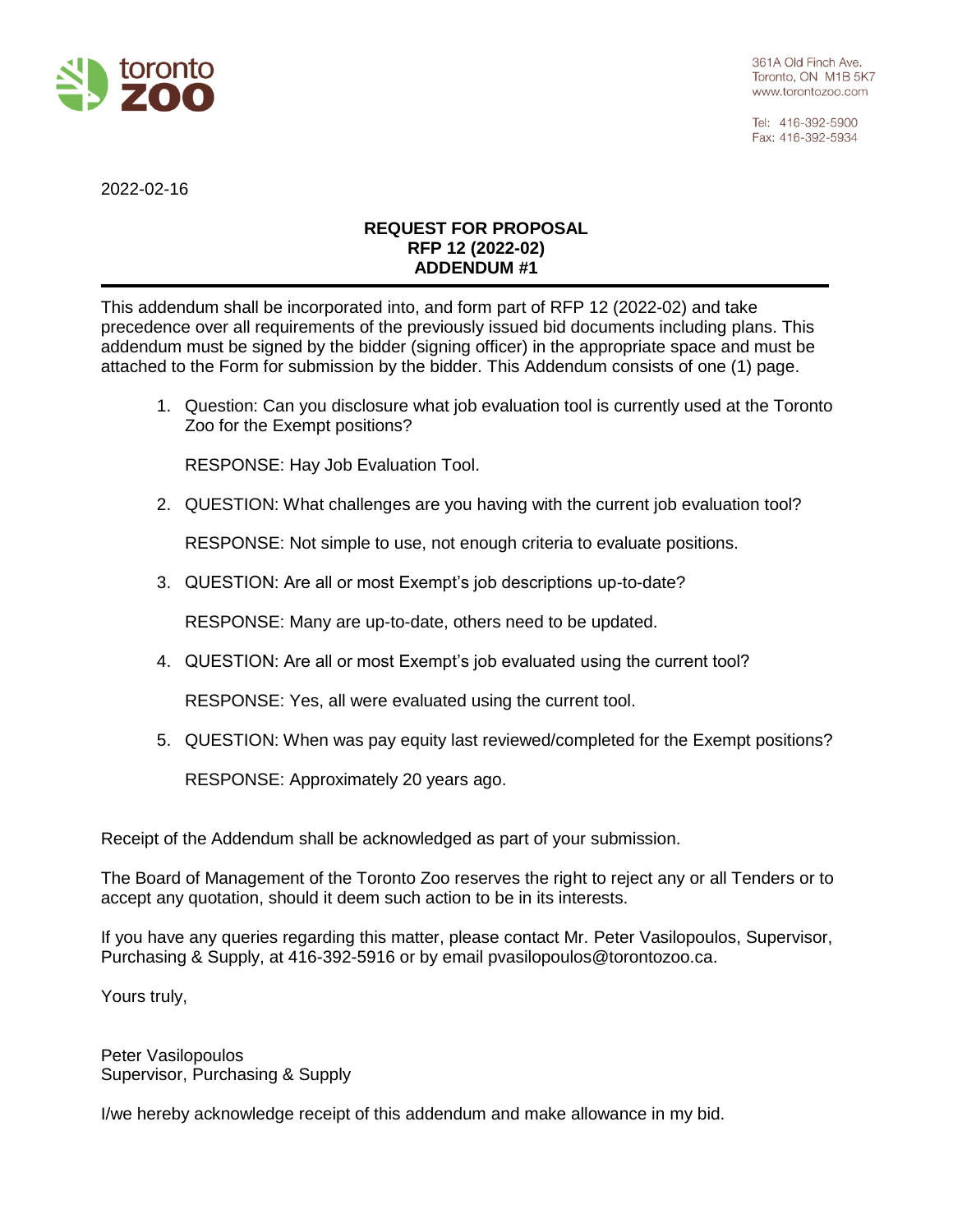

Tel: 416-392-5900 Fax: 416-392-5934

2022-02-16

## **REQUEST FOR PROPOSAL RFP 12 (2022-02) ADDENDUM #1**

This addendum shall be incorporated into, and form part of RFP 12 (2022-02) and take precedence over all requirements of the previously issued bid documents including plans. This addendum must be signed by the bidder (signing officer) in the appropriate space and must be attached to the Form for submission by the bidder. This Addendum consists of one (1) page.

1. Question: Can you disclosure what job evaluation tool is currently used at the Toronto Zoo for the Exempt positions?

RESPONSE: Hay Job Evaluation Tool.

2. QUESTION: What challenges are you having with the current job evaluation tool?

RESPONSE: Not simple to use, not enough criteria to evaluate positions.

3. QUESTION: Are all or most Exempt's job descriptions up-to-date?

RESPONSE: Many are up-to-date, others need to be updated.

4. QUESTION: Are all or most Exempt's job evaluated using the current tool?

RESPONSE: Yes, all were evaluated using the current tool.

5. QUESTION: When was pay equity last reviewed/completed for the Exempt positions?

RESPONSE: Approximately 20 years ago.

Receipt of the Addendum shall be acknowledged as part of your submission.

The Board of Management of the Toronto Zoo reserves the right to reject any or all Tenders or to accept any quotation, should it deem such action to be in its interests.

If you have any queries regarding this matter, please contact Mr. Peter Vasilopoulos, Supervisor, Purchasing & Supply, at 416-392-5916 or by email pvasilopoulos@torontozoo.ca.

Yours truly,

Peter Vasilopoulos Supervisor, Purchasing & Supply

I/we hereby acknowledge receipt of this addendum and make allowance in my bid.